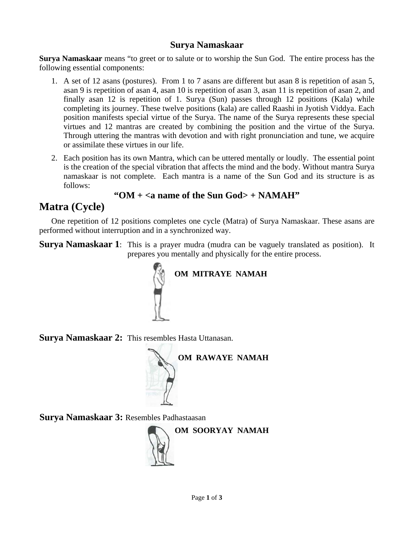## **Surya Namaskaar**

**Surya Namaskaar** means "to greet or to salute or to worship the Sun God. The entire process has the following essential components:

- 1. A set of 12 asans (postures). From 1 to 7 asans are different but asan 8 is repetition of asan 5, asan 9 is repetition of asan 4, asan 10 is repetition of asan 3, asan 11 is repetition of asan 2, and finally asan 12 is repetition of 1. Surya (Sun) passes through 12 positions (Kala) while completing its journey. These twelve positions (kala) are called Raashi in Jyotish Viddya. Each position manifests special virtue of the Surya. The name of the Surya represents these special virtues and 12 mantras are created by combining the position and the virtue of the Surya. Through uttering the mantras with devotion and with right pronunciation and tune, we acquire or assimilate these virtues in our life.
- 2. Each position has its own Mantra, which can be uttered mentally or loudly. The essential point is the creation of the special vibration that affects the mind and the body. Without mantra Surya namaskaar is not complete. Each mantra is a name of the Sun God and its structure is as follows:

## **"OM + <a name of the Sun God> + NAMAH"**

## **Matra (Cycle)**

 One repetition of 12 positions completes one cycle (Matra) of Surya Namaskaar. These asans are performed without interruption and in a synchronized way.

**Surya Namaskaar 1**: This is a prayer mudra (mudra can be vaguely translated as position). It prepares you mentally and physically for the entire process.



**Surya Namaskaar 2:** This resembles Hasta Uttanasan.



**Surya Namaskaar 3:** Resembles Padhastaasan

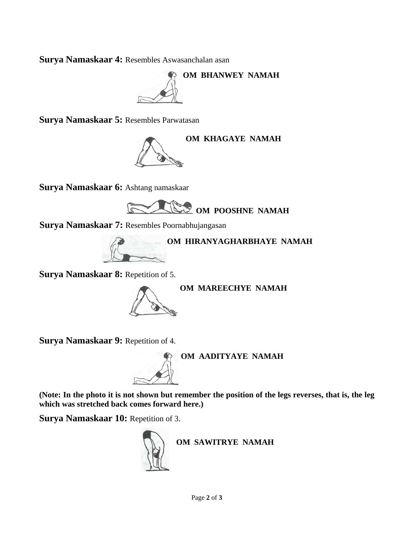**Surya Namaskaar 4:** Resembles Aswasanchalan asan

**OM BHANWEY NAMAH**

**Surya Namaskaar 5:** Resembles Parwatasan



**Surya Namaskaar 6:** Ashtang namaskaar



**Surya Namaskaar 7:** Resembles Poornabhujangasan



**Surya Namaskaar 8:** Repetition of 5.



**Surya Namaskaar 9: Repetition of 4.** 



**(Note: In the photo it is not shown but remember the position of the legs reverses, that is, the leg which was stretched back comes forward here.)** 

**Surya Namaskaar 10: Repetition of 3.** 



**OM SAWITRYE NAMAH**